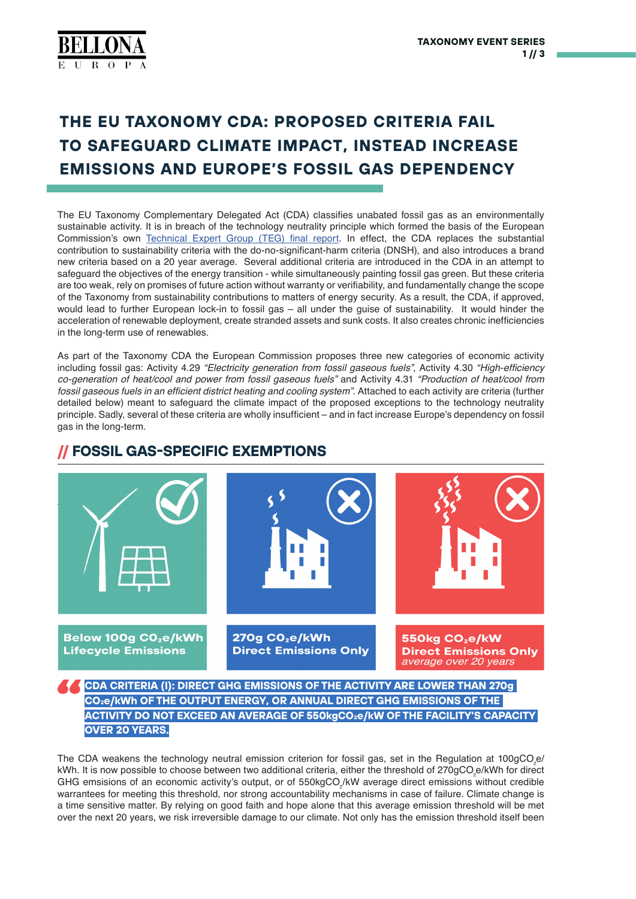# **THE EU TAXONOMY CDA: PROPOSED CRITERIA FAIL TO SAFEGUARD CLIMATE IMPACT, INSTEAD INCREASE EMISSIONS AND EUROPE'S FOSSIL GAS DEPENDENCY**

The EU Taxonomy Complementary Delegated Act (CDA) classifies unabated fossil gas as an environmentally sustainable activity. It is in breach of the technology neutrality principle which formed the basis of the European Commission's own [Technical Expert Group \(TEG\) final report](https://ec.europa.eu/info/sites/default/files/business_economy_euro/banking_and_finance/documents/200309-sustainable-finance-teg-final-report-taxonomy_en.pdf). In effect, the CDA replaces the substantial contribution to sustainability criteria with the do-no-significant-harm criteria (DNSH), and also introduces a brand new criteria based on a 20 year average. Several additional criteria are introduced in the CDA in an attempt to safeguard the objectives of the energy transition - while simultaneously painting fossil gas green. But these criteria are too weak, rely on promises of future action without warranty or verifiability, and fundamentally change the scope of the Taxonomy from sustainability contributions to matters of energy security. As a result, the CDA, if approved, would lead to further European lock-in to fossil gas – all under the guise of sustainability. It would hinder the acceleration of renewable deployment, create stranded assets and sunk costs. It also creates chronic inefficiencies in the long-term use of renewables.

As part of the Taxonomy CDA the European Commission proposes three new categories of economic activity including fossil gas: Activity 4.29 *"Electricity generation from fossil gaseous fuels"*, Activity 4.30 "High-efficiency *co-generation of heat/cool and power from fossil gaseous fuels"* and Activity 4.31 *"Production of heat/cool from*  fossil gaseous fuels in an efficient district heating and cooling system". Attached to each activity are criteria (further detailed below) meant to safeguard the climate impact of the proposed exceptions to the technology neutrality principle. Sadly, several of these criteria are wholly insufficient – and in fact increase Europe's dependency on fossil gas in the long-term.

# Below 100g CO<sub>2</sub>e/kWh 270g CO<sub>2</sub>e/kWh 550kg CO<sub>2</sub>e/kW **Direct Emissions Only Lifecvcle Emissions Direct Emissions Only** average over 20 years **CDA CRITERIA (I): DIRECT GHG EMISSIONS OF THE ACTIVITY ARE LOWER THAN 270g CO2e/kWh OF THE OUTPUT ENERGY, OR ANNUAL DIRECT GHG EMISSIONS OF THE ACTIVITY DO NOT EXCEED AN AVERAGE OF 550kgCO2e/kW OF THE FACILITY'S CAPACITY**

### **// FOSSIL GAS-SPECIFIC EXEMPTIONS**

**OVER 20 YEARS.**

The CDA weakens the technology neutral emission criterion for fossil gas, set in the Regulation at 100gCO<sub>.e</sub>/ kWh. It is now possible to choose between two additional criteria, either the threshold of 270gCO e/kWh for direct GHG emsisions of an economic activity's output, or of 550kgCO/kW average direct emissions without credible warrantees for meeting this threshold, nor strong accountability mechanisms in case of failure. Climate change is a time sensitive matter. By relying on good faith and hope alone that this average emission threshold will be met over the next 20 years, we risk irreversible damage to our climate. Not only has the emission threshold itself been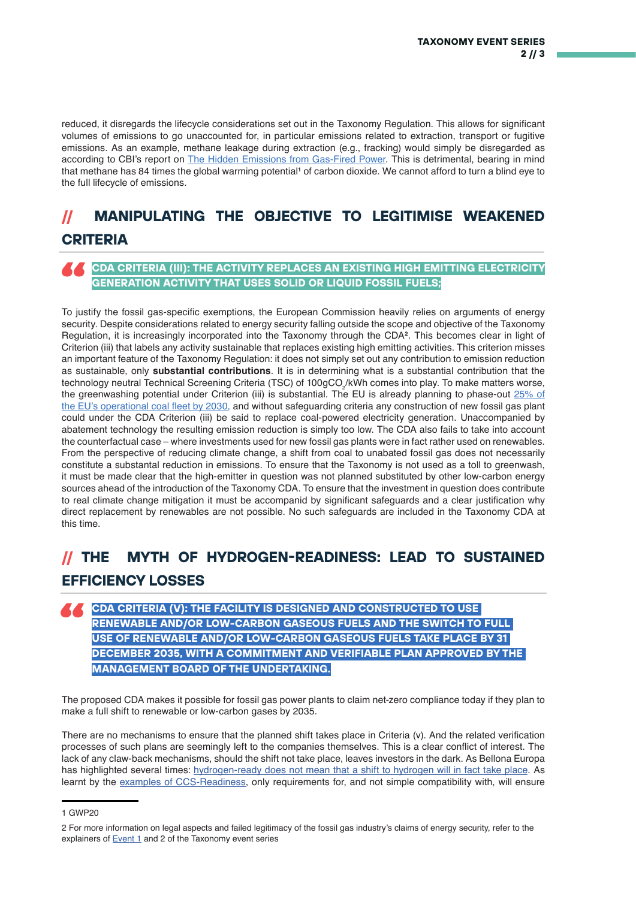reduced, it disregards the lifecycle considerations set out in the Taxonomy Regulation. This allows for significant volumes of emissions to go unaccounted for, in particular emissions related to extraction, transport or fugitive emissions. As an example, methane leakage during extraction (e.g., fracking) would simply be disregarded as according to CBI's report on [The Hidden Emissions from Gas-Fired Power.](https://www.climatebonds.net/files/files/eu-gas-briefing-220221.pdf) This is detrimental, bearing in mind that methane has 84 times the global warming potential<sup>1</sup> of carbon dioxide. We cannot afford to turn a blind eye to the full lifecycle of emissions.

## **// MANIPULATING THE OBJECTIVE TO LEGITIMISE WEAKENED CRITERIA**

#### **CDA CRITERIA (III): THE ACTIVITY REPLACES AN EXISTING HIGH EMITTING ELECTRICITY GENERATION ACTIVITY THAT USES SOLID OR LIQUID FOSSIL FUELS;**

To justify the fossil gas-specific exemptions, the European Commission heavily relies on arguments of energy security. Despite considerations related to energy security falling outside the scope and objective of the Taxonomy Regulation, it is increasingly incorporated into the Taxonomy through the CDA**<sup>2</sup>**. This becomes clear in light of Criterion (iii) that labels any activity sustainable that replaces existing high emitting activities. This criterion misses an important feature of the Taxonomy Regulation: it does not simply set out any contribution to emission reduction as sustainable, only **substantial contributions**. It is in determining what is a substantial contribution that the technology neutral Technical Screening Criteria (TSC) of 100gCO₂/kWh comes into play. To make matters worse, the greenwashing potential under Criterion (iii) is substantial. The EU is already planning to phase-out [25% of](https://beyond-coal.eu/wp-content/uploads/2021/03/Overview-of-national-coal-phase-out-announcements-Europe-Beyond-Coal-22-March-2021.pdf) [the EU's operational coal fleet by 2030](https://beyond-coal.eu/wp-content/uploads/2021/03/Overview-of-national-coal-phase-out-announcements-Europe-Beyond-Coal-22-March-2021.pdf), and without safeguarding criteria any construction of new fossil gas plant could under the CDA Criterion (iii) be said to replace coal-powered electricity generation. Unaccompanied by abatement technology the resulting emission reduction is simply too low. The CDA also fails to take into account the counterfactual case – where investments used for new fossil gas plants were in fact rather used on renewables. From the perspective of reducing climate change, a shift from coal to unabated fossil gas does not necessarily constitute a substantal reduction in emissions. To ensure that the Taxonomy is not used as a toll to greenwash, it must be made clear that the high-emitter in question was not planned substituted by other low-carbon energy sources ahead of the introduction of the Taxonomy CDA. To ensure that the investment in question does contribute to real climate change mitigation it must be accompanid by significant safeguards and a clear justification why direct replacement by renewables are not possible. No such safeguards are included in the Taxonomy CDA at this time.

### **// THE MYTH OF HYDROGEN-READINESS: LEAD TO SUSTAINED EFFICIENCY LOSSES**

#### **CDA CRITERIA (V): THE FACILITY IS DESIGNED AND CONSTRUCTED TO USE RENEWABLE AND/OR LOW-CARBON GASEOUS FUELS AND THE SWITCH TO FULL USE OF RENEWABLE AND/OR LOW-CARBON GASEOUS FUELS TAKE PLACE BY 31 DECEMBER 2035, WITH A COMMITMENT AND VERIFIABLE PLAN APPROVED BY THE MANAGEMENT BOARD OF THE UNDERTAKING.**

The proposed CDA makes it possible for fossil gas power plants to claim net-zero compliance today if they plan to make a full shift to renewable or low-carbon gases by 2035.

There are no mechanisms to ensure that the planned shift takes place in Criteria (v). And the related verification processes of such plans are seemingly left to the companies themselves. This is a clear conflict of interest. The lack of any claw-back mechanisms, should the shift not take place, leaves investors in the dark. As Bellona Europa has highlighted several times: [hydrogen-ready does not mean that a shift to hydrogen will in fact take place](https://bellona.org/news/renewable-energy/2022-01-leaked-taxonomy-proposal-fossil-gas-sustainable-label-relies-on-promises-in-bad-faith-still-risks-wasting-all-our-renewable-energy). As learnt by the [examples of CCS-Readiness](https://bellona.org/publication/ccs-readiness-sostanj-ticking-boxes-preparing-future), only requirements for, and not simple compatibility with, will ensure

<sup>1</sup> GWP20

<sup>2</sup> For more information on legal aspects and failed legitimacy of the fossil gas industry's claims of energy security, refer to the explainers of **Event 1** and 2 of the Taxonomy event series